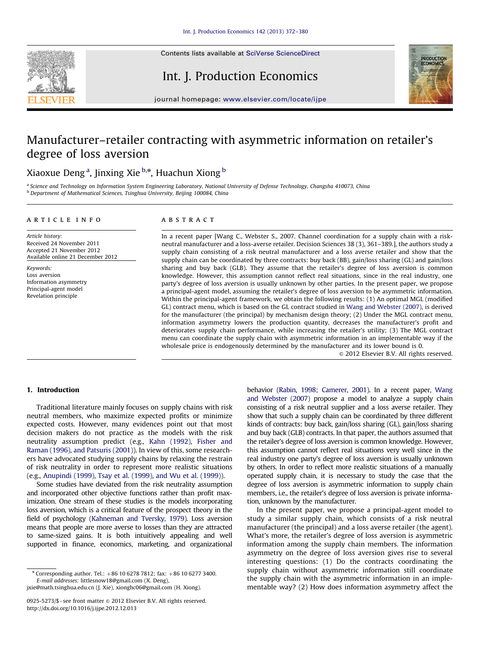

## Int. J. Production Economics



journal homepage: <www.elsevier.com/locate/ijpe>

# Manufacturer–retailer contracting with asymmetric information on retailer's degree of loss aversion

### Xiaoxue Deng<sup>a</sup>, Jinxing Xie<sup>b,</sup>\*, Huachun Xiong <sup>b</sup>

<sup>a</sup> Science and Technology on Information System Engineering Laboratory, National University of Defense Technology, Changsha 410073, China b Department of Mathematical Sciences, Tsinghua University, Beijing 100084, China

#### article info

Article history: Received 24 November 2011 Accepted 21 November 2012 Available online 21 December 2012

Keywords: Loss aversion Information asymmetry Principal-agent model Revelation principle

#### **ABSTRACT**

In a recent paper [Wang C., Webster S., 2007. Channel coordination for a supply chain with a riskneutral manufacturer and a loss-averse retailer. Decision Sciences 38 (3), 361–389.], the authors study a supply chain consisting of a risk neutral manufacturer and a loss averse retailer and show that the supply chain can be coordinated by three contracts: buy back (BB), gain/loss sharing (GL) and gain/loss sharing and buy back (GLB). They assume that the retailer's degree of loss aversion is common knowledge. However, this assumption cannot reflect real situations, since in the real industry, one party's degree of loss aversion is usually unknown by other parties. In the present paper, we propose a principal-agent model, assuming the retailer's degree of loss aversion to be asymmetric information. Within the principal-agent framework, we obtain the following results: (1) An optimal MGL (modified GL) contract menu, which is based on the GL contract studied in [Wang and Webster \(2007\),](#page--1-0) is derived for the manufacturer (the principal) by mechanism design theory; (2) Under the MGL contract menu, information asymmetry lowers the production quantity, decreases the manufacturer's profit and deteriorates supply chain performance, while increasing the retailer's utility; (3) The MGL contract menu can coordinate the supply chain with asymmetric information in an implementable way if the wholesale price is endogenously determined by the manufacturer and its lower bound is 0.

 $\odot$  2012 Elsevier B.V. All rights reserved.

#### 1. Introduction

Traditional literature mainly focuses on supply chains with risk neutral members, who maximize expected profits or minimize expected costs. However, many evidences point out that most decision makers do not practice as the models with the risk neutrality assumption predict (e.g., [Kahn \(1992\),](#page--1-0) [Fisher and](#page--1-0) [Raman \(1996\),](#page--1-0) [and Patsuris \(2001\)](#page--1-0)). In view of this, some researchers have advocated studying supply chains by relaxing the restrain of risk neutrality in order to represent more realistic situations (e.g., [Anupindi \(1999\)](#page--1-0), [Tsay et al. \(1999\),](#page--1-0) [and Wu et al. \(1999\)\)](#page--1-0).

Some studies have deviated from the risk neutrality assumption and incorporated other objective functions rather than profit maximization. One stream of these studies is the models incorporating loss aversion, which is a critical feature of the prospect theory in the field of psychology [\(Kahneman and Tversky, 1979\)](#page--1-0). Loss aversion means that people are more averse to losses than they are attracted to same-sized gains. It is both intuitively appealing and well supported in finance, economics, marketing, and organizational behavior ([Rabin, 1998;](#page--1-0) [Camerer, 2001\)](#page--1-0). In a recent paper, [Wang](#page--1-0) [and Webster \(2007\)](#page--1-0) propose a model to analyze a supply chain consisting of a risk neutral supplier and a loss averse retailer. They show that such a supply chain can be coordinated by three different kinds of contracts: buy back, gain/loss sharing (GL), gain/loss sharing and buy back (GLB) contracts. In that paper, the authors assumed that the retailer's degree of loss aversion is common knowledge. However, this assumption cannot reflect real situations very well since in the real industry one party's degree of loss aversion is usually unknown by others. In order to reflect more realistic situations of a manually operated supply chain, it is necessary to study the case that the degree of loss aversion is asymmetric information to supply chain members, i.e., the retailer's degree of loss aversion is private information, unknown by the manufacturer.

In the present paper, we propose a principal-agent model to study a similar supply chain, which consists of a risk neutral manufacturer (the principal) and a loss averse retailer (the agent). What's more, the retailer's degree of loss aversion is asymmetric information among the supply chain members. The information asymmetry on the degree of loss aversion gives rise to several interesting questions: (1) Do the contracts coordinating the supply chain without asymmetric information still coordinate the supply chain with the asymmetric information in an implementable way? (2) How does information asymmetry affect the

 $*$  Corresponding author. Tel.:  $+86$  10 6278 7812; fax:  $+86$  10 6277 3400. E-mail addresses: [littlesnow18@gmail.com \(X. Deng\)](mailto:littlesnow18@gmail.com),

[jxie@math.tsinghua.edu.cn \(J. Xie\),](mailto:jxie@math.tsinghua.edu.cn) [xionghc06@gmail.com \(H. Xiong\)](mailto:xionghc06@gmail.com).

<sup>0925-5273/\$ -</sup> see front matter  $\circ$  2012 Elsevier B.V. All rights reserved. <http://dx.doi.org/10.1016/j.ijpe.2012.12.013>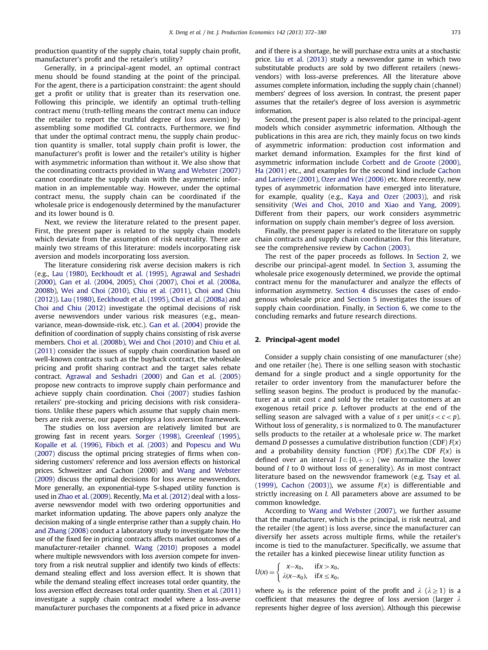production quantity of the supply chain, total supply chain profit, manufacturer's profit and the retailer's utility?

Generally, in a principal-agent model, an optimal contract menu should be found standing at the point of the principal. For the agent, there is a participation constraint: the agent should get a profit or utility that is greater than its reservation one. Following this principle, we identify an optimal truth-telling contract menu (truth-telling means the contract menu can induce the retailer to report the truthful degree of loss aversion) by assembling some modified GL contracts. Furthermore, we find that under the optimal contract menu, the supply chain production quantity is smaller, total supply chain profit is lower, the manufacturer's profit is lower and the retailer's utility is higher with asymmetric information than without it. We also show that the coordinating contracts provided in [Wang and Webster \(2007\)](#page--1-0) cannot coordinate the supply chain with the asymmetric information in an implementable way. However, under the optimal contract menu, the supply chain can be coordinated if the wholesale price is endogenously determined by the manufacturer and its lower bound is 0.

Next, we review the literature related to the present paper. First, the present paper is related to the supply chain models which deviate from the assumption of risk neutrality. There are mainly two streams of this literature: models incorporating risk aversion and models incorporating loss aversion.

The literature considering risk averse decision makers is rich (e.g., [Lau \(1980\),](#page--1-0) [Eeckhoudt et al. \(1995\)](#page--1-0), [Agrawal and Seshadri](#page--1-0) [\(2000\)](#page--1-0), [Gan et al. \(2004](#page--1-0), [2005\), Choi \(2007\),](#page--1-0) [Choi et al. \(2008a,](#page--1-0) [2008b\), Wei and Choi \(2010\)](#page--1-0), [Chiu et al. \(2011\)](#page--1-0), [Choi and Chiu](#page--1-0) [\(2012\)](#page--1-0)). [Lau \(1980\),](#page--1-0) [Eeckhoudt et al. \(1995\)](#page--1-0), [Choi et al. \(2008a\)](#page--1-0) and [Choi and Chiu \(2012\)](#page--1-0) investigate the optimal decisions of risk averse newsvendors under various risk measures (e.g., meanvariance, mean-downside-risk, etc.). [Gan et al. \(2004\)](#page--1-0) provide the definition of coordination of supply chains consisting of risk averse members. [Choi et al. \(2008b\),](#page--1-0) [Wei and Choi \(2010\)](#page--1-0) and [Chiu et al.](#page--1-0) [\(2011\)](#page--1-0) consider the issues of supply chain coordination based on well-known contracts such as the buyback contract, the wholesale pricing and profit sharing contract and the target sales rebate contract. [Agrawal and Seshadri \(2000\)](#page--1-0) and [Gan et al. \(2005\)](#page--1-0) propose new contracts to improve supply chain performance and achieve supply chain coordination. [Choi \(2007\)](#page--1-0) studies fashion retailers' pre-stocking and pricing decisions with risk considerations. Unlike these papers which assume that supply chain members are risk averse, our paper employs a loss aversion framework.

The studies on loss aversion are relatively limited but are growing fast in recent years. [Sorger \(1998\)](#page--1-0), [Greenleaf \(1995\),](#page--1-0) [Kopalle et al. \(1996\)](#page--1-0), [Fibich et al. \(2003\)](#page--1-0) and [Popescu and Wu](#page--1-0) [\(2007\)](#page--1-0) discuss the optimal pricing strategies of firms when considering customers' reference and loss aversion effects on historical prices. Schweitzer and Cachon (2000) and [Wang and Webster](#page--1-0) [\(2009\)](#page--1-0) discuss the optimal decisions for loss averse newsvendors. More generally, an exponential-type S-shaped utility function is used in [Zhao et al. \(2009\).](#page--1-0) Recently, [Ma et al. \(2012\)](#page--1-0) deal with a lossaverse newsvendor model with two ordering opportunities and market information updating. The above papers only analyze the decision making of a single enterprise rather than a supply chain. [Ho](#page--1-0) [and Zhang \(2008\)](#page--1-0) conduct a laboratory study to investigate how the use of the fixed fee in pricing contracts affects market outcomes of a manufacturer-retailer channel. [Wang \(2010\)](#page--1-0) proposes a model where multiple newsvendors with loss aversion compete for inventory from a risk neutral supplier and identify two kinds of effects: demand stealing effect and loss aversion effect. It is shown that while the demand stealing effect increases total order quantity, the loss aversion effect decreases total order quantity. [Shen et al. \(2011\)](#page--1-0) investigate a supply chain contract model where a loss-averse manufacturer purchases the components at a fixed price in advance and if there is a shortage, he will purchase extra units at a stochastic price. [Liu et al. \(2013\)](#page--1-0) study a newsvendor game in which two substitutable products are sold by two different retailers (newsvendors) with loss-averse preferences. All the literature above assumes complete information, including the supply chain (channel) members' degrees of loss aversion. In contrast, the present paper assumes that the retailer's degree of loss aversion is asymmetric information.

Second, the present paper is also related to the principal-agent models which consider asymmetric information. Although the publications in this area are rich, they mainly focus on two kinds of asymmetric information: production cost information and market demand information. Examples for the first kind of asymmetric information include [Corbett and de Groote \(2000\),](#page--1-0) [Ha \(2001\)](#page--1-0) etc., and examples for the second kind include [Cachon](#page--1-0) [and Lariviere \(2001\)](#page--1-0), [Ozer and Wei \(2006\)](#page--1-0) etc. More recently, new types of asymmetric information have emerged into literature, for example, quality (e.g., [Kaya and Ozer \(2003\)\)](#page--1-0), and risk sensitivity ([Wei and Choi, 2010 and Xiao and Yang, 2009\)](#page--1-0). Different from their papers, our work considers asymmetric information on supply chain member's degree of loss aversion.

Finally, the present paper is related to the literature on supply chain contracts and supply chain coordination. For this literature, see the comprehensive review by [Cachon \(2003\).](#page--1-0)

The rest of the paper proceeds as follows. In Section 2, we describe our principal-agent model. In [Section 3](#page--1-0), assuming the wholesale price exogenously determined, we provide the optimal contract menu for the manufacturer and analyze the effects of information asymmetry. [Section 4](#page--1-0) discusses the cases of endogenous wholesale price and [Section 5](#page--1-0) investigates the issues of supply chain coordination. Finally, in [Section 6,](#page--1-0) we come to the concluding remarks and future research directions.

#### 2. Principal-agent model

Consider a supply chain consisting of one manufacturer (she) and one retailer (he). There is one selling season with stochastic demand for a single product and a single opportunity for the retailer to order inventory from the manufacturer before the selling season begins. The product is produced by the manufacturer at a unit cost  $c$  and sold by the retailer to customers at an exogenous retail price p. Leftover products at the end of the selling season are salvaged with a value of s per unit( $s < c < p$ ). Without loss of generality, s is normalized to 0. The manufacturer sells products to the retailer at a wholesale price w. The market demand D possesses a cumulative distribution function (CDF)  $F(x)$ and a probability density function (PDF)  $f(x)$ . The CDF  $F(x)$  is defined over an interval  $I \subset [0,+\infty)$  (we normalize the lower bound of I to 0 without loss of generality). As in most contract literature based on the newsvendor framework (e.g. [Tsay et al.](#page--1-0) [\(1999\),](#page--1-0) [Cachon \(2003\)\)](#page--1-0), we assume  $F(x)$  is differentiable and strictly increasing on I. All parameters above are assumed to be common knowledge.

According to [Wang and Webster \(2007\)](#page--1-0), we further assume that the manufacturer, which is the principal, is risk neutral, and the retailer (the agent) is loss averse, since the manufacturer can diversify her assets across multiple firms, while the retailer's income is tied to the manufacturer. Specifically, we assume that the retailer has a kinked piecewise linear utility function as

$$
U(x) = \begin{cases} x - x_0, & \text{if } x > x_0, \\ \lambda(x - x_0), & \text{if } x \le x_0, \end{cases}
$$

where  $x_0$  is the reference point of the profit and  $\lambda$  ( $\lambda \ge 1$ ) is a coefficient that measures the degree of loss aversion (larger  $\lambda$ represents higher degree of loss aversion). Although this piecewise